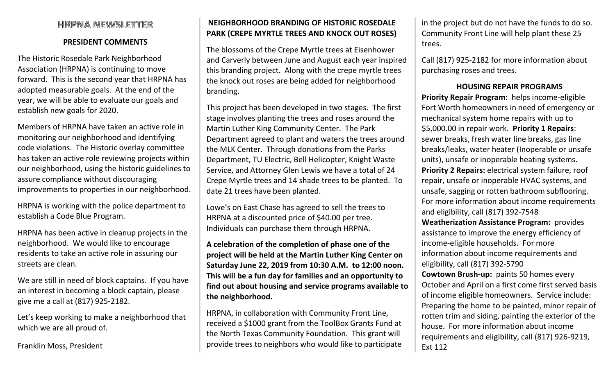# **HRPNA NEWSLETTER**

### PRESIDENT COMMENTS

The Historic Rosedale Park Neighborhood Association (HRPNA) is continuing to move forward. This is the second year that HRPNA has adopted measurable goals. At the end of the year, we will be able to evaluate our goals and establish new goals for 2020.

Members of HRPNA have taken an active role in monitoring our neighborhood and identifying code violations. The Historic overlay committee has taken an active role reviewing projects within our neighborhood, using the historic guidelines to assure compliance without discouraging improvements to properties in our neighborhood.

HRPNA is working with the police department to establish a Code Blue Program.

HRPNA has been active in cleanup projects in the neighborhood. We would like to encourage residents to take an active role in assuring our streets are clean.

We are still in need of block captains. If you have an interest in becoming a block captain, please give me a call at (817) 925-2182.

Let's keep working to make a neighborhood that which we are all proud of.

Franklin Moss, President

## NEIGHBORHOOD BRANDING OF HISTORIC ROSEDALE PARK (CREPE MYRTLE TREES AND KNOCK OUT ROSES)

The blossoms of the Crepe Myrtle trees at Eisenhower and Carverly between June and August each year inspired this branding project. Along with the crepe myrtle trees the knock out roses are being added for neighborhood branding.

This project has been developed in two stages. The first stage involves planting the trees and roses around the Martin Luther King Community Center. The Park Department agreed to plant and waters the trees around the MLK Center. Through donations from the Parks Department, TU Electric, Bell Helicopter, Knight Waste Service, and Attorney Glen Lewis we have a total of 24 Crepe Myrtle trees and 14 shade trees to be planted. To date 21 trees have been planted.

Lowe's on East Chase has agreed to sell the trees to HRPNA at a discounted price of \$40.00 per tree. Individuals can purchase them through HRPNA.

A celebration of the completion of phase one of the project will be held at the Martin Luther King Center on Saturday June 22, 2019 from 10:30 A.M. to 12:00 noon. This will be a fun day for families and an opportunity to find out about housing and service programs available to the neighborhood.

HRPNA, in collaboration with Community Front Line, received a \$1000 grant from the ToolBox Grants Fund at the North Texas Community Foundation. This grant will provide trees to neighbors who would like to participate in the project but do not have the funds to do so. Community Front Line will help plant these 25 trees.

Call (817) 925-2182 for more information about purchasing roses and trees.

### HOUSING REPAIR PROGRAMS

Priority Repair Program: helps income-eligible Fort Worth homeowners in need of emergency or mechanical system home repairs with up to \$5,000.00 in repair work. Priority 1 Repairs: sewer breaks, fresh water line breaks, gas line breaks/leaks, water heater (Inoperable or unsafe units), unsafe or inoperable heating systems. Priority 2 Repairs: electrical system failure, roof repair, unsafe or inoperable HVAC systems, and unsafe, sagging or rotten bathroom subflooring. For more information about income requirements and eligibility, call (817) 392-7548 Weatherization Assistance Program: provides assistance to improve the energy efficiency of income-eligible households. For more information about income requirements and eligibility, call (817) 392-5790 Cowtown Brush-up: paints 50 homes every October and April on a first come first served basis of income eligible homeowners. Service include: Preparing the home to be painted, minor repair of rotten trim and siding, painting the exterior of the house. For more information about income requirements and eligibility, call (817) 926-9219, Ext 112